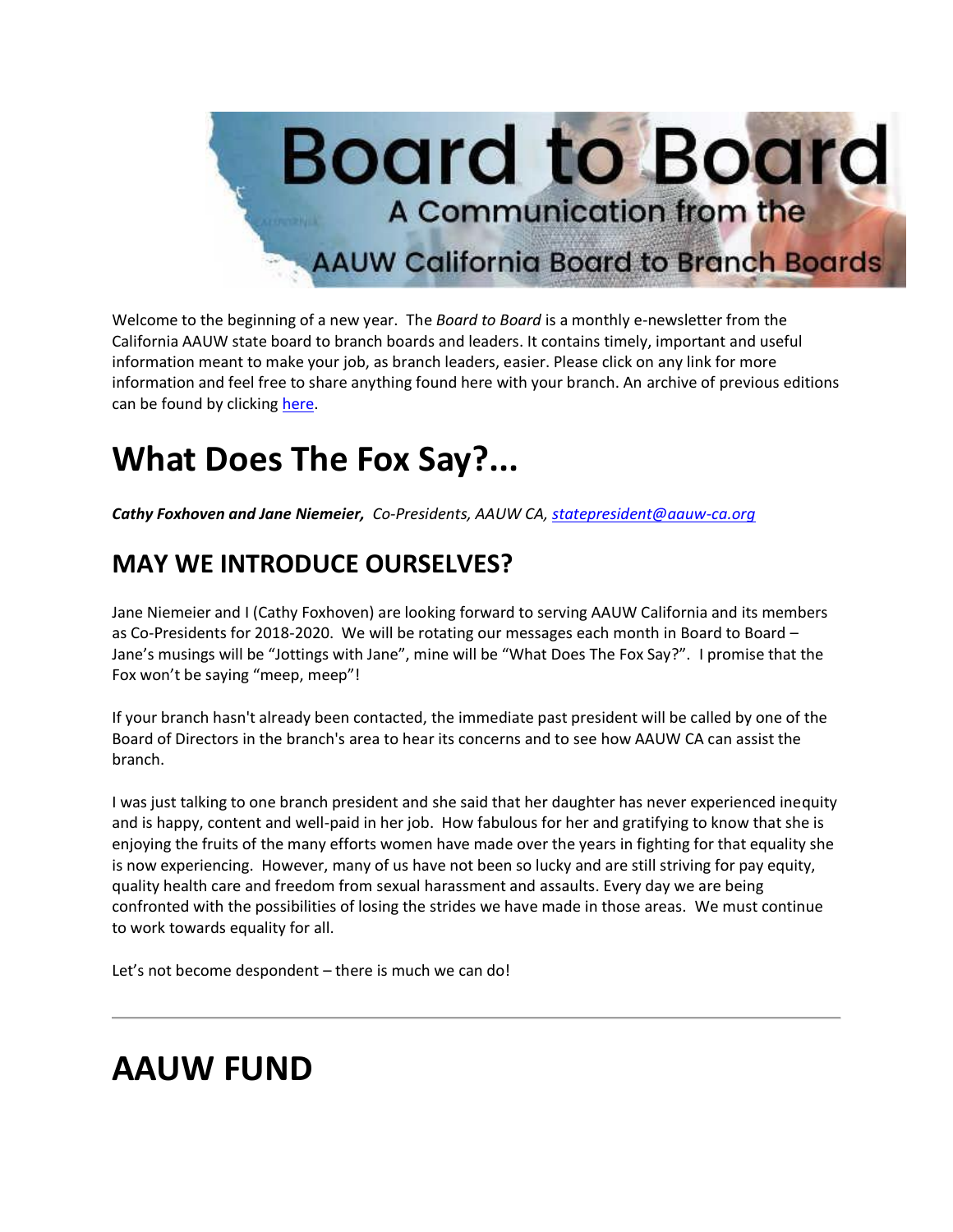

Welcome to the beginning of a new year. The *Board to Board* is a monthly e-newsletter from the California AAUW state board to branch boards and leaders. It contains timely, important and useful information meant to make your job, as branch leaders, easier. Please click on any link for more information and feel free to share anything found here with your branch. An archive of previous editions can be found by clicking [here.](https://bor.aauw-ca.org/sendy/l/892WZcugyyn7Dp4I7u2fztNQ/hSTTcjR9VJz6X8923ju1hopA/pKhCHHzOxBCpYBI1eKKm8g)

## **What Does The Fox Say?...**

*Cathy Foxhoven and Jane Niemeier, Co-Presidents, AAUW CA, [statepresident@aauw-ca.org](mailto:statepresident@aauw-ca.org)*

### **MAY WE INTRODUCE OURSELVES?**

Jane Niemeier and I (Cathy Foxhoven) are looking forward to serving AAUW California and its members as Co-Presidents for 2018-2020. We will be rotating our messages each month in Board to Board -Jane's musings will be "Jottings with Jane", mine will be "What Does The Fox Say?". I promise that the Fox won't be saying "meep, meep"!

If your branch hasn't already been contacted, the immediate past president will be called by one of the Board of Directors in the branch's area to hear its concerns and to see how AAUW CA can assist the branch.

I was just talking to one branch president and she said that her daughter has never experienced inequity and is happy, content and well-paid in her job. How fabulous for her and gratifying to know that she is enjoying the fruits of the many efforts women have made over the years in fighting for that equality she is now experiencing. However, many of us have not been so lucky and are still striving for pay equity, quality health care and freedom from sexual harassment and assaults. Every day we are being confronted with the possibilities of losing the strides we have made in those areas. We must continue to work towards equality for all.

Let's not become despondent – there is much we can do!

## **AAUW FUND**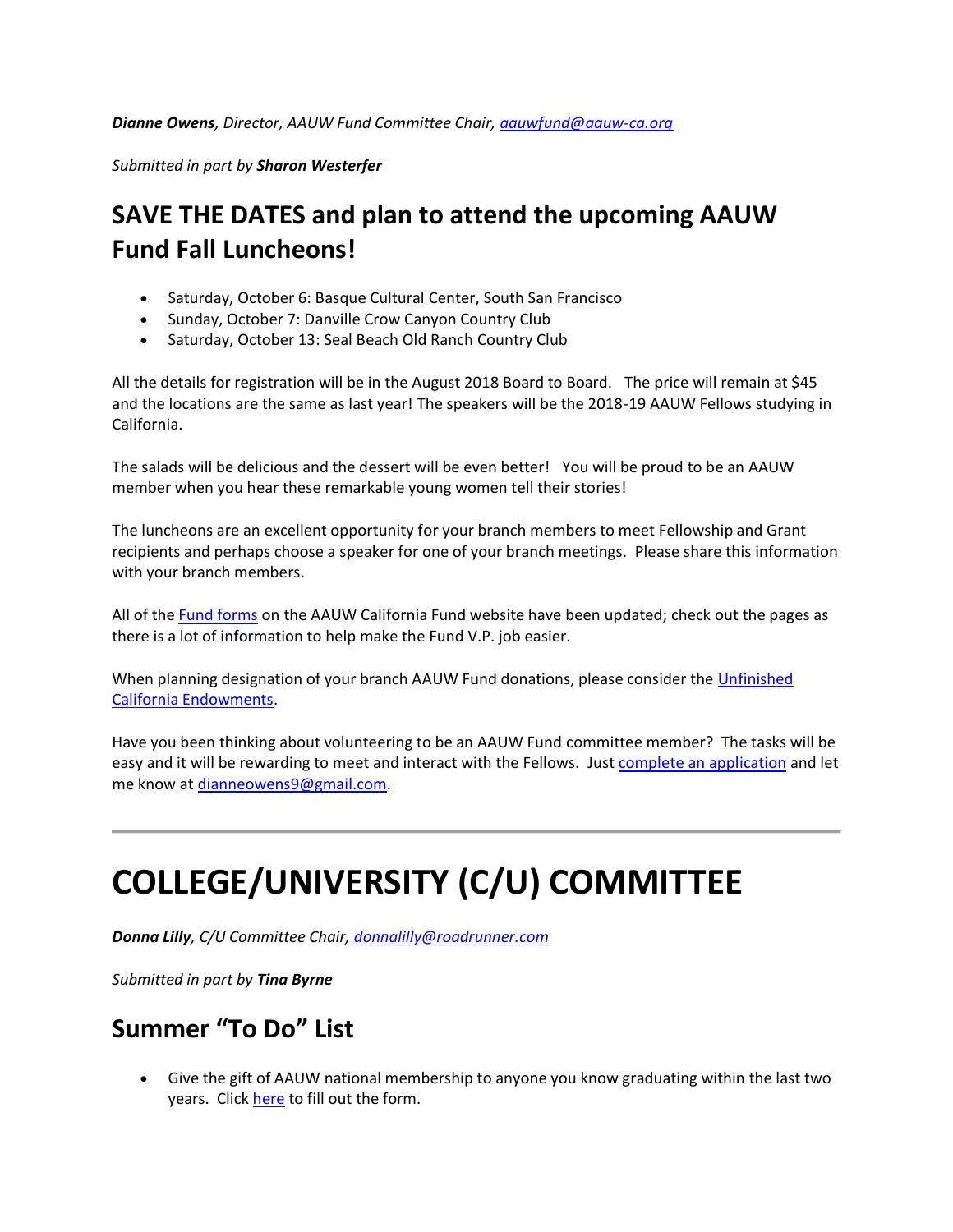*Submitted in part by Sharon Westerfer*

### **SAVE THE DATES and plan to attend the upcoming AAUW Fund Fall Luncheons!**

- Saturday, October 6: Basque Cultural Center, South San Francisco
- Sunday, October 7: Danville Crow Canyon Country Club
- Saturday, October 13: Seal Beach Old Ranch Country Club

All the details for registration will be in the August 2018 Board to Board. The price will remain at \$45 and the locations are the same as last year! The speakers will be the 2018-19 AAUW Fellows studying in California.

The salads will be delicious and the dessert will be even better! You will be proud to be an AAUW member when you hear these remarkable young women tell their stories!

The luncheons are an excellent opportunity for your branch members to meet Fellowship and Grant recipients and perhaps choose a speaker for one of your branch meetings. Please share this information with your branch members.

All of the [Fund forms](https://bor.aauw-ca.org/sendy/l/892WZcugyyn7Dp4I7u2fztNQ/kLCMq3QapOs8BjGa3dO2dw/pKhCHHzOxBCpYBI1eKKm8g) on the AAUW California Fund website have been updated; check out the pages as there is a lot of information to help make the Fund V.P. job easier.

When planning designation of your branch AAUW Fund donations, please consider the [Unfinished](https://bor.aauw-ca.org/sendy/l/892WZcugyyn7Dp4I7u2fztNQ/J9F3Lvw0XHR9cQvm892f3r2g/pKhCHHzOxBCpYBI1eKKm8g)  [California Endowments.](https://bor.aauw-ca.org/sendy/l/892WZcugyyn7Dp4I7u2fztNQ/J9F3Lvw0XHR9cQvm892f3r2g/pKhCHHzOxBCpYBI1eKKm8g)

Have you been thinking about volunteering to be an AAUW Fund committee member? The tasks will be easy and it will be rewarding to meet and interact with the Fellows. Jus[t complete an application](https://bor.aauw-ca.org/sendy/l/892WZcugyyn7Dp4I7u2fztNQ/32N37631763wOYIfkGZFIyOLug/pKhCHHzOxBCpYBI1eKKm8g) and let me know at [dianneowens9@gmail.com.](mailto:dianneowens9@gmail.com)

# **COLLEGE/UNIVERSITY (C/U) COMMITTEE**

*Donna Lilly, C/U Committee Chair, [donnalilly@roadrunner.com](mailto:donnalilly@roadrunner.com)*

*Submitted in part by Tina Byrne*

#### **Summer "To Do" List**

• Give the gift of AAUW national membership to anyone you know graduating within the last two years. Clic[k here](https://bor.aauw-ca.org/sendy/l/892WZcugyyn7Dp4I7u2fztNQ/cuYoQ588923X11jrzjNIUsoA/pKhCHHzOxBCpYBI1eKKm8g) to fill out the form.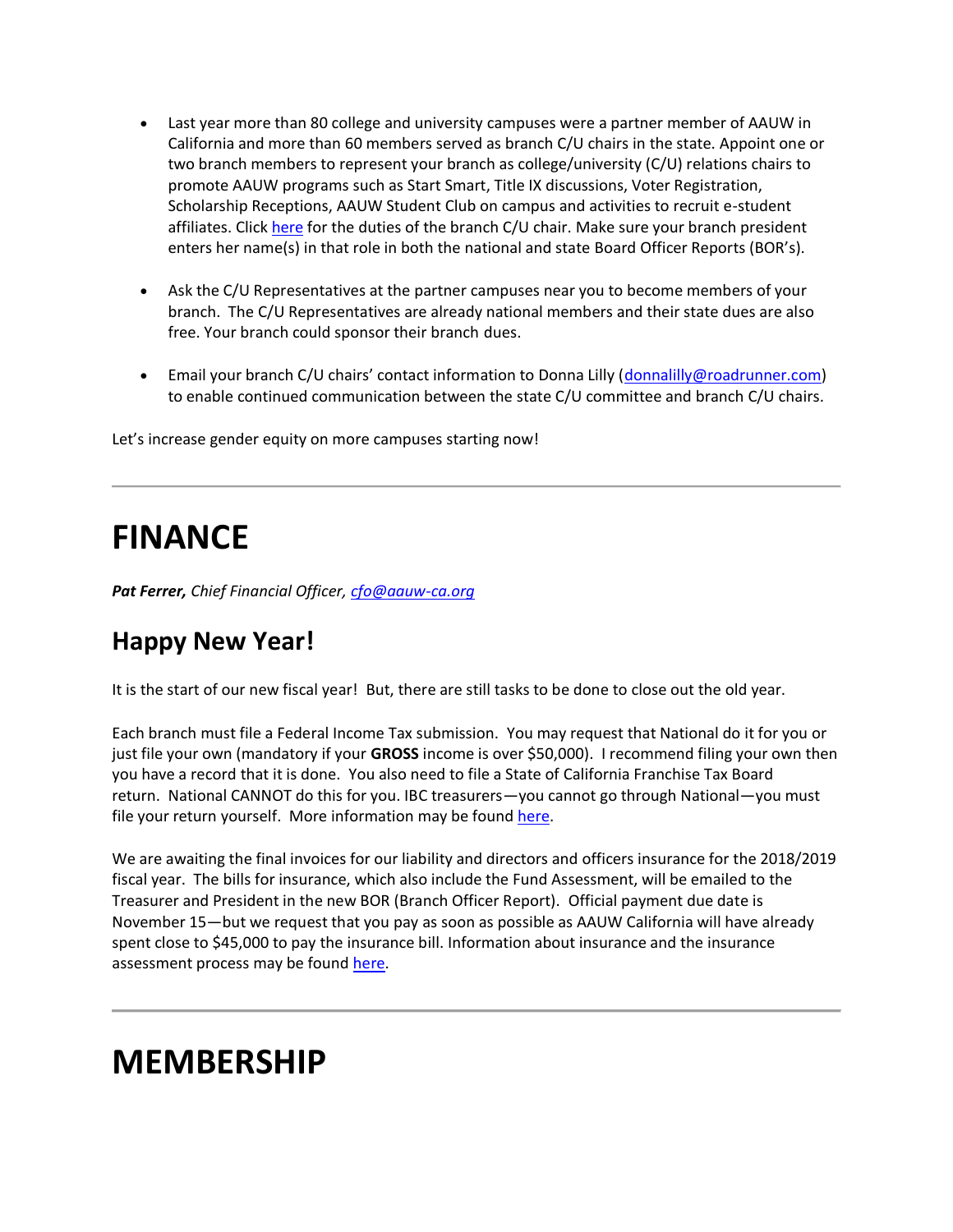- Last year more than 80 college and university campuses were a partner member of AAUW in California and more than 60 members served as branch C/U chairs in the state. Appoint one or two branch members to represent your branch as college/university (C/U) relations chairs to promote AAUW programs such as Start Smart, Title IX discussions, Voter Registration, Scholarship Receptions, AAUW Student Club on campus and activities to recruit e-student affiliates. Clic[k here](https://bor.aauw-ca.org/sendy/l/892WZcugyyn7Dp4I7u2fztNQ/Nrm892GfRAb23gb8ejf892hcsA/pKhCHHzOxBCpYBI1eKKm8g) for the duties of the branch C/U chair. Make sure your branch president enters her name(s) in that role in both the national and state Board Officer Reports (BOR's).
- Ask the C/U Representatives at the partner campuses near you to become members of your branch. The C/U Representatives are already national members and their state dues are also free. Your branch could sponsor their branch dues.
- Email your branch C/U chairs' contact information to Donna Lilly ([donnalilly@roadrunner.com\)](mailto:donnalilly@roadrunner.com) to enable continued communication between the state C/U committee and branch C/U chairs.

Let's increase gender equity on more campuses starting now!

## **FINANCE**

*Pat Ferrer, Chief Financial Officer, [cfo@aauw-ca.org](https://bor.aauw-ca.org/sendy/l/892WZcugyyn7Dp4I7u2fztNQ/6jALclMkBfCSyTCaZWjK5w/pKhCHHzOxBCpYBI1eKKm8g)*

### **Happy New Year!**

It is the start of our new fiscal year! But, there are still tasks to be done to close out the old year.

Each branch must file a Federal Income Tax submission. You may request that National do it for you or just file your own (mandatory if your **GROSS** income is over \$50,000). I recommend filing your own then you have a record that it is done. You also need to file a State of California Franchise Tax Board return. National CANNOT do this for you. IBC treasurers—you cannot go through National—you must file your return yourself. More information may be found [here.](https://bor.aauw-ca.org/sendy/l/892WZcugyyn7Dp4I7u2fztNQ/peGsksJse4tlB5cSvSb0Fg/pKhCHHzOxBCpYBI1eKKm8g)

We are awaiting the final invoices for our liability and directors and officers insurance for the 2018/2019 fiscal year. The bills for insurance, which also include the Fund Assessment, will be emailed to the Treasurer and President in the new BOR (Branch Officer Report). Official payment due date is November 15—but we request that you pay as soon as possible as AAUW California will have already spent close to \$45,000 to pay the insurance bill. Information about insurance and the insurance assessment process may be found [here.](https://bor.aauw-ca.org/sendy/l/892WZcugyyn7Dp4I7u2fztNQ/Tx6T7xBGgd0hOSO8921ZaECA/pKhCHHzOxBCpYBI1eKKm8g)

### **MEMBERSHIP**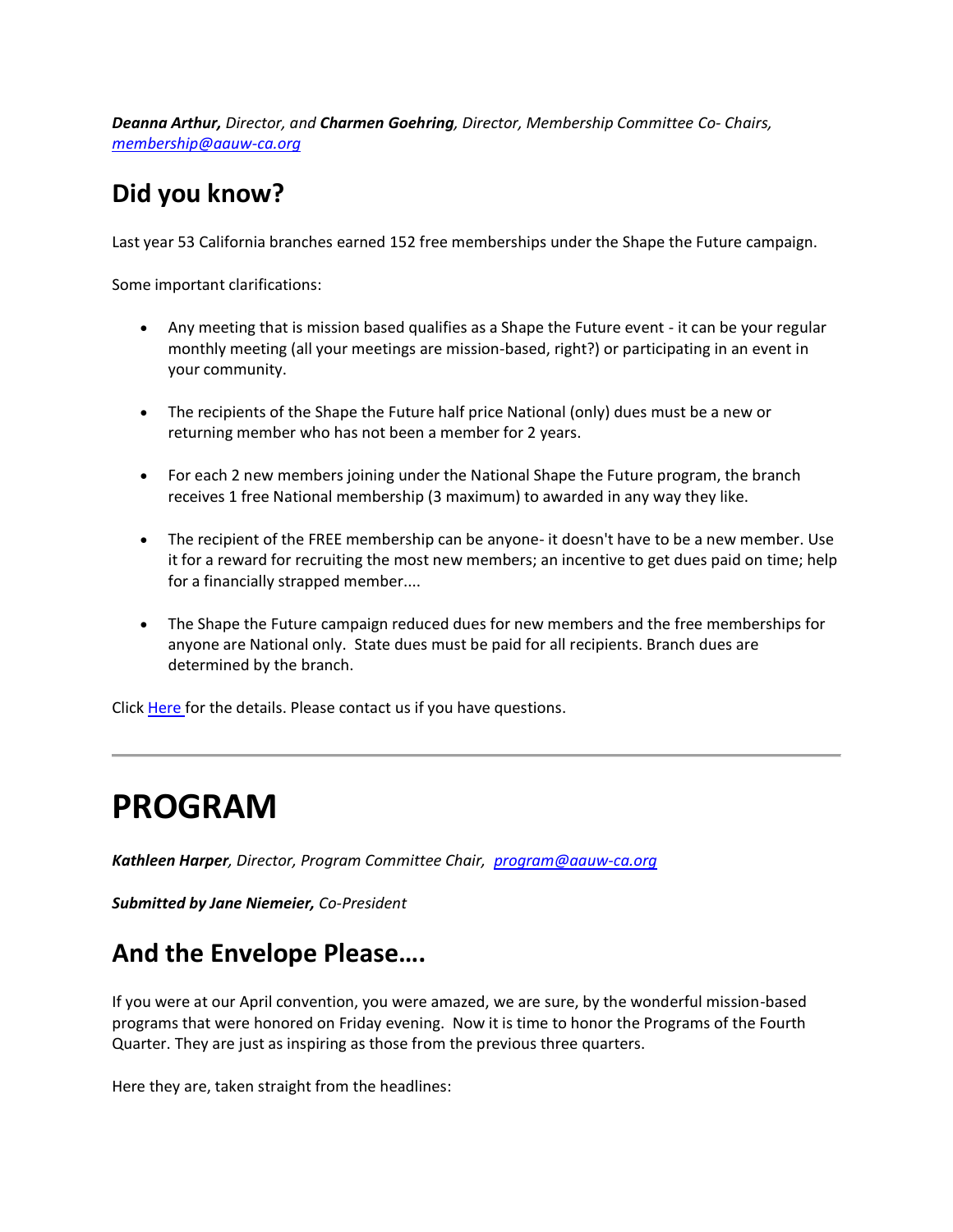*Deanna Arthur, Director, and Charmen Goehring, Director, Membership Committee Co- Chairs, [membership@aauw-ca.org](mailto:membership@aauw-ca.org)*

### **Did you know?**

Last year 53 California branches earned 152 free memberships under the Shape the Future campaign.

Some important clarifications:

- Any meeting that is mission based qualifies as a Shape the Future event it can be your regular monthly meeting (all your meetings are mission-based, right?) or participating in an event in your community.
- The recipients of the Shape the Future half price National (only) dues must be a new or returning member who has not been a member for 2 years.
- For each 2 new members joining under the National Shape the Future program, the branch receives 1 free National membership (3 maximum) to awarded in any way they like.
- The recipient of the FREE membership can be anyone- it doesn't have to be a new member. Use it for a reward for recruiting the most new members; an incentive to get dues paid on time; help for a financially strapped member....
- The Shape the Future campaign reduced dues for new members and the free memberships for anyone are National only. State dues must be paid for all recipients. Branch dues are determined by the branch.

Click [Here f](https://bor.aauw-ca.org/sendy/l/892WZcugyyn7Dp4I7u2fztNQ/X2bk9XY0hYOcqVkeLKgLcg/pKhCHHzOxBCpYBI1eKKm8g)or the details. Please contact us if you have questions.

## **PROGRAM**

*Kathleen Harper, Director, Program Committee Chair, [program@aauw-ca.org](mailto:program@aauw-ca.org)*

*Submitted by Jane Niemeier, Co-President*

### **And the Envelope Please….**

If you were at our April convention, you were amazed, we are sure, by the wonderful mission-based programs that were honored on Friday evening. Now it is time to honor the Programs of the Fourth Quarter. They are just as inspiring as those from the previous three quarters.

Here they are, taken straight from the headlines: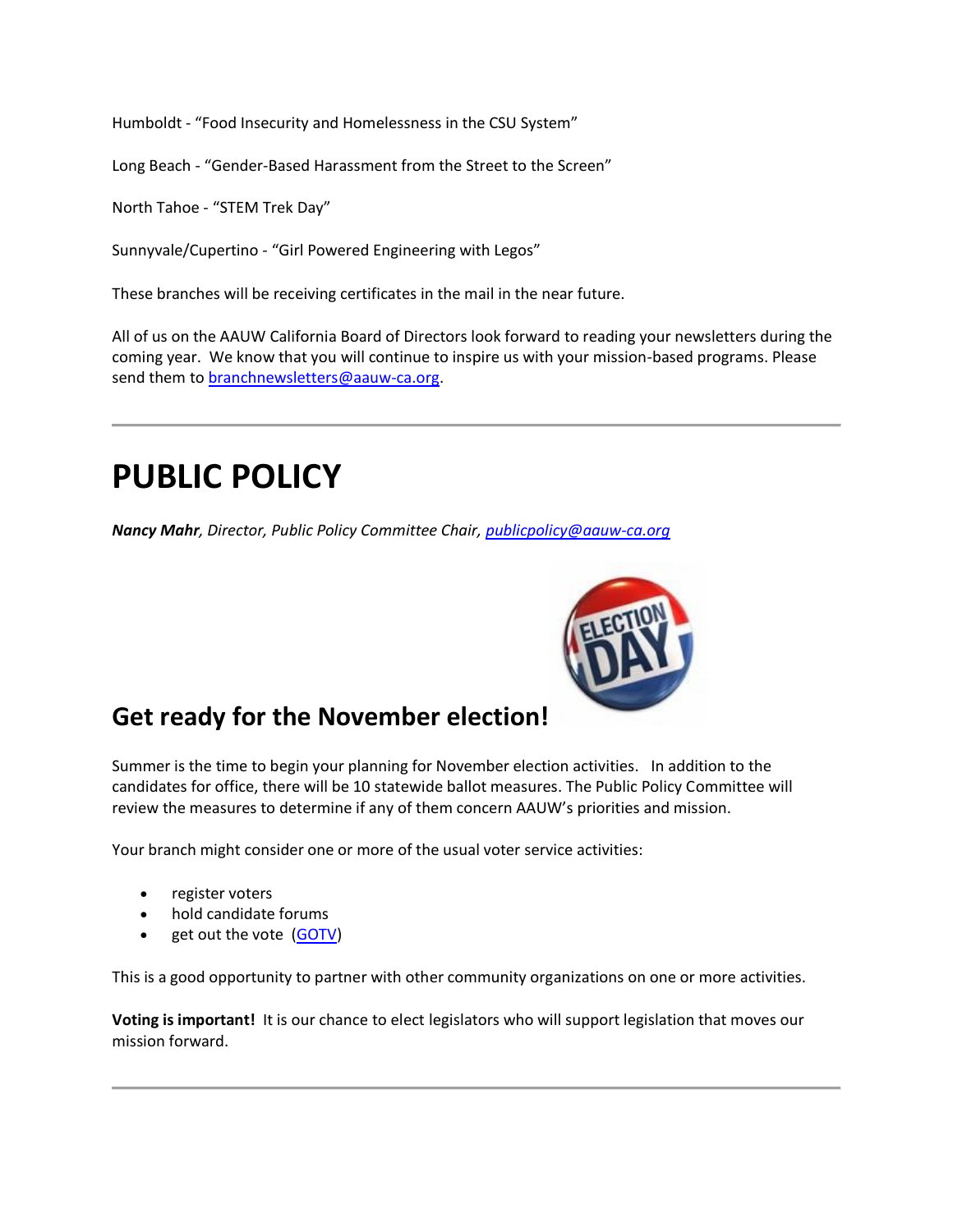Humboldt - "Food Insecurity and Homelessness in the CSU System"

Long Beach - "Gender-Based Harassment from the Street to the Screen"

North Tahoe - "STEM Trek Day"

Sunnyvale/Cupertino - "Girl Powered Engineering with Legos"

These branches will be receiving certificates in the mail in the near future.

All of us on the AAUW California Board of Directors look forward to reading your newsletters during the coming year. We know that you will continue to inspire us with your mission-based programs. Please send them to [branchnewsletters@aauw-ca.org.](mailto:branchnewsletters@aauw-ca.org)

### **PUBLIC POLICY**

*Nancy Mahr, Director, Public Policy Committee Chair, [publicpolicy@aauw-ca.org](mailto:PublicPolicy@aauw-ca.org)*



#### **Get ready for the November election!**

Summer is the time to begin your planning for November election activities. In addition to the candidates for office, there will be 10 statewide ballot measures. The Public Policy Committee will review the measures to determine if any of them concern AAUW's priorities and mission.

Your branch might consider one or more of the usual voter service activities:

- register voters
- hold candidate forums
- get out the vote [\(GOTV\)](https://bor.aauw-ca.org/sendy/l/892WZcugyyn7Dp4I7u2fztNQ/G018ZSnESL1XFj763womavlg/pKhCHHzOxBCpYBI1eKKm8g)

This is a good opportunity to partner with other community organizations on one or more activities.

**Voting is important!** It is our chance to elect legislators who will support legislation that moves our mission forward.